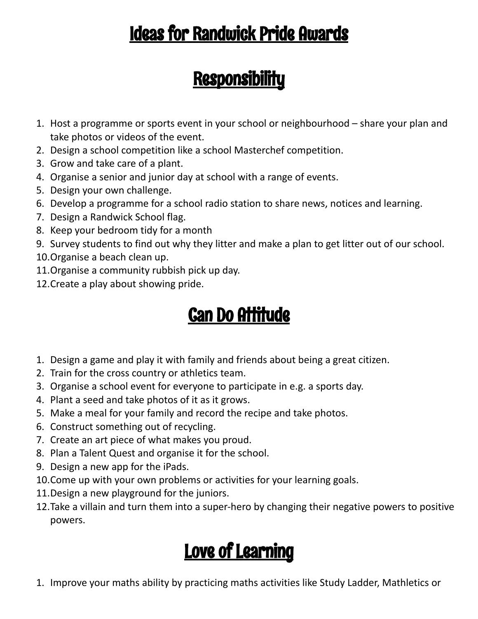## Ideas for Randwick Pride Awards

#### **Responsibility**

- 1. Host a programme or sports event in your school or neighbourhood share your plan and take photos or videos of the event.
- 2. Design a school competition like a school Masterchef competition.
- 3. Grow and take care of a plant.
- 4. Organise a senior and junior day at school with a range of events.
- 5. Design your own challenge.
- 6. Develop a programme for a school radio station to share news, notices and learning.
- 7. Design a Randwick School flag.
- 8. Keep your bedroom tidy for a month
- 9. Survey students to find out why they litter and make a plan to get litter out of our school.
- 10.Organise a beach clean up.
- 11.Organise a community rubbish pick up day.
- 12.Create a play about showing pride.

#### Can Do Attitude

- 1. Design a game and play it with family and friends about being a great citizen.
- 2. Train for the cross country or athletics team.
- 3. Organise a school event for everyone to participate in e.g. a sports day.
- 4. Plant a seed and take photos of it as it grows.
- 5. Make a meal for your family and record the recipe and take photos.
- 6. Construct something out of recycling.
- 7. Create an art piece of what makes you proud.
- 8. Plan a Talent Quest and organise it for the school.
- 9. Design a new app for the iPads.
- 10.Come up with your own problems or activities for your learning goals.
- 11.Design a new playground for the juniors.
- 12.Take a villain and turn them into a super-hero by changing their negative powers to positive powers.

## Love of Learning

1. Improve your maths ability by practicing maths activities like Study Ladder, Mathletics or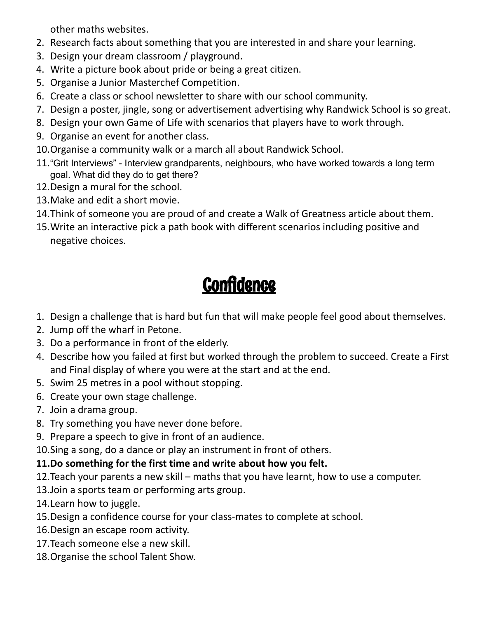other maths websites.

- 2. Research facts about something that you are interested in and share your learning.
- 3. Design your dream classroom / playground.
- 4. Write a picture book about pride or being a great citizen.
- 5. Organise a Junior Masterchef Competition.
- 6. Create a class or school newsletter to share with our school community.
- 7. Design a poster, jingle, song or advertisement advertising why Randwick School is so great.
- 8. Design your own Game of Life with scenarios that players have to work through.
- 9. Organise an event for another class.
- 10.Organise a community walk or a march all about Randwick School.
- 11."Grit Interviews" Interview grandparents, neighbours, who have worked towards a long term goal. What did they do to get there?
- 12.Design a mural for the school.
- 13.Make and edit a short movie.
- 14.Think of someone you are proud of and create a Walk of Greatness article about them.
- 15.Write an interactive pick a path book with different scenarios including positive and negative choices.

# **Confidence**

- 1. Design a challenge that is hard but fun that will make people feel good about themselves.
- 2. Jump off the wharf in Petone.
- 3. Do a performance in front of the elderly.
- 4. Describe how you failed at first but worked through the problem to succeed. Create a First and Final display of where you were at the start and at the end.
- 5. Swim 25 metres in a pool without stopping.
- 6. Create your own stage challenge.
- 7. Join a drama group.
- 8. Try something you have never done before.
- 9. Prepare a speech to give in front of an audience.
- 10.Sing a song, do a dance or play an instrument in front of others.

#### **11.Do something for the first time and write about how you felt.**

- 12.Teach your parents a new skill maths that you have learnt, how to use a computer.
- 13.Join a sports team or performing arts group.
- 14.Learn how to juggle.
- 15.Design a confidence course for your class-mates to complete at school.
- 16.Design an escape room activity.
- 17.Teach someone else a new skill.
- 18.Organise the school Talent Show.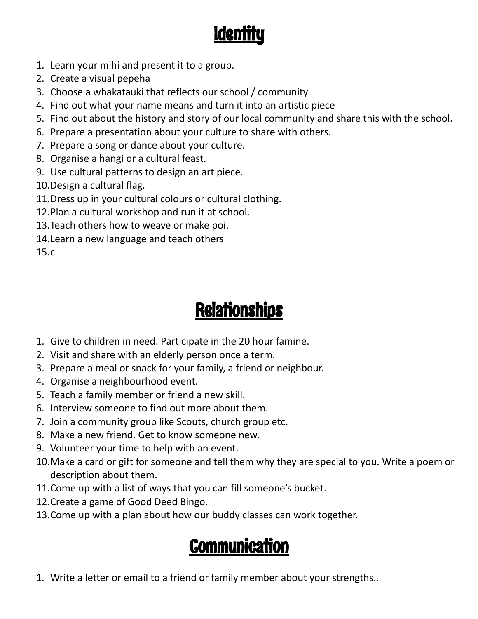## **Identity**

- 1. Learn your mihi and present it to a group.
- 2. Create a visual pepeha
- 3. Choose a whakatauki that reflects our school / community
- 4. Find out what your name means and turn it into an artistic piece
- 5. Find out about the history and story of our local community and share this with the school.
- 6. Prepare a presentation about your culture to share with others.
- 7. Prepare a song or dance about your culture.
- 8. Organise a hangi or a cultural feast.
- 9. Use cultural patterns to design an art piece.
- 10.Design a cultural flag.
- 11.Dress up in your cultural colours or cultural clothing.
- 12.Plan a cultural workshop and run it at school.
- 13.Teach others how to weave or make poi.
- 14.Learn a new language and teach others

15.c

# **Relationships**

- 1. Give to children in need. Participate in the 20 hour famine.
- 2. Visit and share with an elderly person once a term.
- 3. Prepare a meal or snack for your family, a friend or neighbour.
- 4. Organise a neighbourhood event.
- 5. Teach a family member or friend a new skill.
- 6. Interview someone to find out more about them.
- 7. Join a community group like Scouts, church group etc.
- 8. Make a new friend. Get to know someone new.
- 9. Volunteer your time to help with an event.
- 10.Make a card or gift for someone and tell them why they are special to you. Write a poem or description about them.
- 11.Come up with a list of ways that you can fill someone's bucket.
- 12.Create a game of Good Deed Bingo.
- 13.Come up with a plan about how our buddy classes can work together.

# **Communication**

1. Write a letter or email to a friend or family member about your strengths..